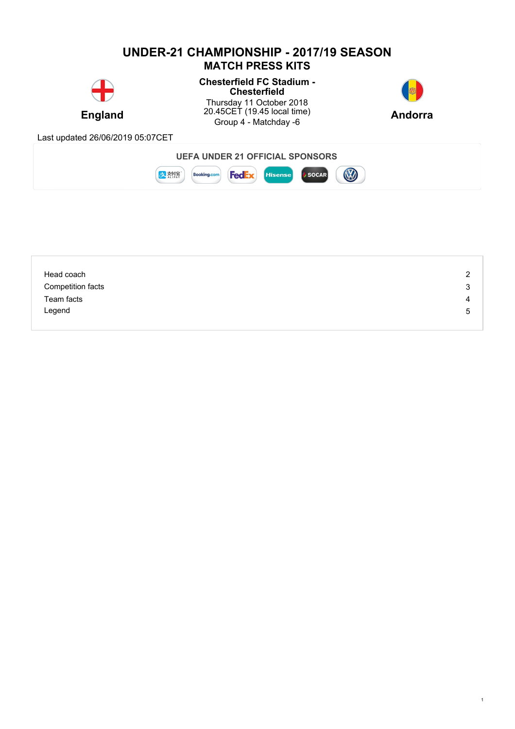## **UNDER-21 CHAMPIONSHIP - 2017/19 SEASON MATCH PRESS KITS**



### **Chesterfield FC Stadium - Chesterfield**

**England** 20.45CET (19.45 local time) **Andorra** Thursday 11 October 2018 20.45CET (19.45 local time) Group 4 - Matchday -6 **Andorra**



1

Last updated 26/06/2019 05:07CET





| Head coach        | 2 |
|-------------------|---|
| Competition facts | 3 |
| Team facts        | 4 |
| Legend            | 5 |
|                   |   |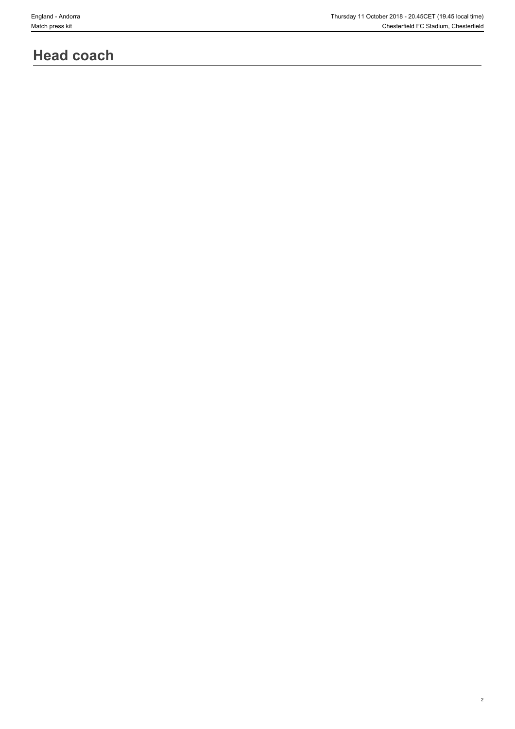2

## **Head coach**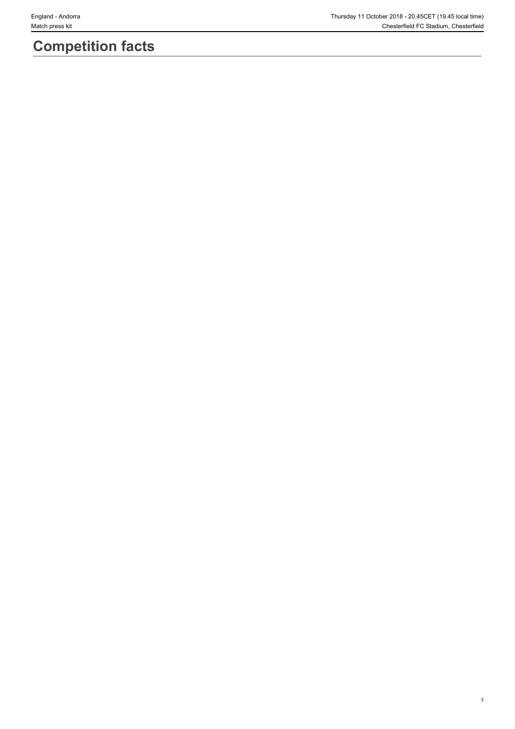3

# **Competition facts**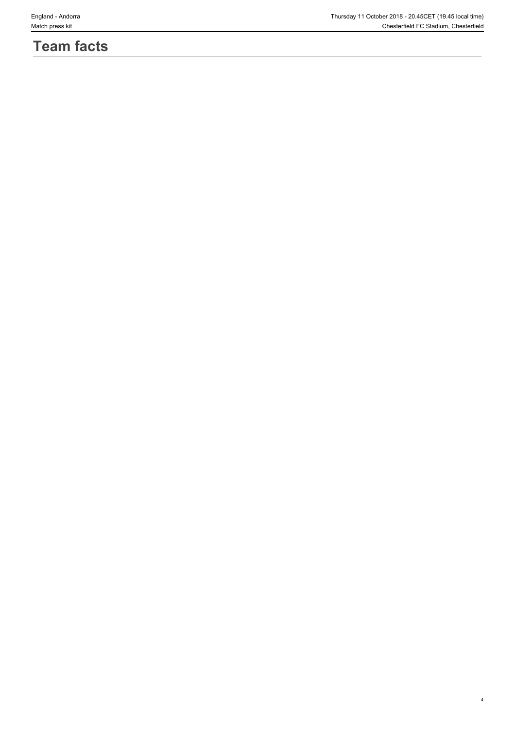## **Team facts**

4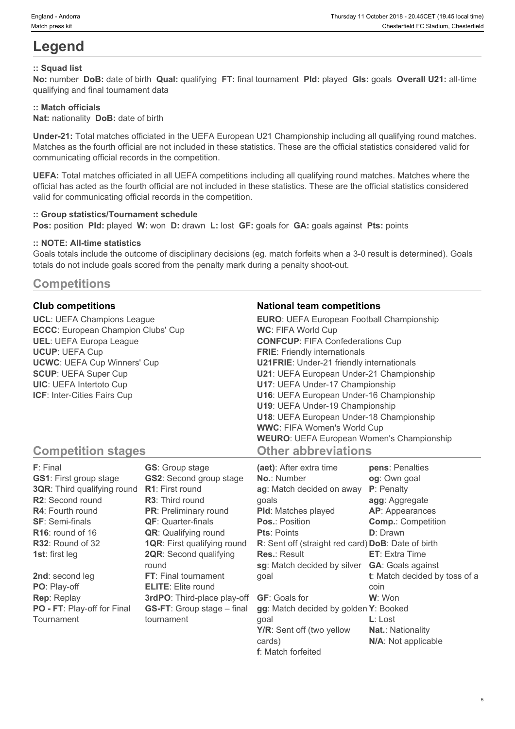## **Legend**

#### **:: Squad list**

**No:** number **DoB:** date of birth **Qual:** qualifying **FT:** final tournament **Pld:** played **Gls:** goals **Overall U21:** all-time qualifying and final tournament data

#### **:: Match officials**

**Nat:** nationality **DoB:** date of birth

**Under-21:** Total matches officiated in the UEFA European U21 Championship including all qualifying round matches. Matches as the fourth official are not included in these statistics. These are the official statistics considered valid for communicating official records in the competition.

**UEFA:** Total matches officiated in all UEFA competitions including all qualifying round matches. Matches where the official has acted as the fourth official are not included in these statistics. These are the official statistics considered valid for communicating official records in the competition.

#### **:: Group statistics/Tournament schedule**

**Pos:** position **Pld:** played **W:** won **D:** drawn **L:** lost **GF:** goals for **GA:** goals against **Pts:** points

#### **:: NOTE: All-time statistics**

Goals totals include the outcome of disciplinary decisions (eg. match forfeits when a 3-0 result is determined). Goals totals do not include goals scored from the penalty mark during a penalty shoot-out.

### **Competitions**

**UCL**: UEFA Champions League **ECCC**: European Champion Clubs' Cup **UEL**: UEFA Europa League **UCUP**: UEFA Cup **UCWC**: UEFA Cup Winners' Cup **SCUP**: UEFA Super Cup **UIC**: UEFA Intertoto Cup **ICF**: Inter-Cities Fairs Cup

#### **Club competitions National team competitions**

| <b>EURO:</b> UEFA European Football Championship |  |
|--------------------------------------------------|--|
| <b>WC: FIFA World Cup</b>                        |  |
| <b>CONFCUP: FIFA Confederations Cup</b>          |  |
| <b>FRIE:</b> Friendly internationals             |  |
| <b>U21FRIE:</b> Under-21 friendly internationals |  |
| U21: UEFA European Under-21 Championship         |  |
| U17: UEFA Under-17 Championship                  |  |
| U16: UEFA European Under-16 Championship         |  |
| U19: UEFA Under-19 Championship                  |  |
| U18: UEFA European Under-18 Championship         |  |
| <b>WWC: FIFA Women's World Cup</b>               |  |
| <b>WEURO:</b> UEFA European Women's Championship |  |
| <b>Other abbreviations</b>                       |  |

5

### **Competition stages**

| F: Final                           | <b>GS:</b> Group stage             | (aet): After extra time                            | pens: Penalties               |
|------------------------------------|------------------------------------|----------------------------------------------------|-------------------------------|
| <b>GS1: First group stage</b>      | <b>GS2:</b> Second group stage     | <b>No.: Number</b>                                 | og: Own goal                  |
| <b>3QR:</b> Third qualifying round | <b>R1:</b> First round             | ag: Match decided on away                          | P: Penalty                    |
| R2: Second round                   | <b>R3:</b> Third round             | qoals                                              | agg: Aggregate                |
| <b>R4:</b> Fourth round            | <b>PR:</b> Preliminary round       | <b>PId:</b> Matches played                         | AP: Appearances               |
| <b>SF: Semi-finals</b>             | <b>QF: Quarter-finals</b>          | <b>Pos.: Position</b>                              | <b>Comp.: Competition</b>     |
| $R16$ : round of 16                | <b>QR:</b> Qualifying round        | <b>Pts: Points</b>                                 | <b>D</b> : Drawn              |
| R32: Round of 32                   | <b>1QR: First qualifying round</b> | R: Sent off (straight red card) DoB: Date of birth |                               |
| <b>1st:</b> first leg              | <b>2QR:</b> Second qualifying      | <b>Res.: Result</b>                                | <b>ET:</b> Extra Time         |
|                                    | round                              | sg: Match decided by silver                        | <b>GA:</b> Goals against      |
| 2nd: second leg                    | FT: Final tournament               | qoal                                               | t: Match decided by toss of a |
| PO: Play-off                       | <b>ELITE:</b> Elite round          |                                                    | coin                          |
| <b>Rep: Replay</b>                 | 3rdPO: Third-place play-off        | <b>GF: Goals for</b>                               | W: Won                        |
| PO - FT: Play-off for Final        | <b>GS-FT:</b> Group stage – final  | gg: Match decided by golden Y: Booked              |                               |
| Tournament                         | tournament                         | qoal                                               | $L:$ Lost                     |
|                                    |                                    | Y/R: Sent off (two yellow                          | <b>Nat.: Nationality</b>      |
|                                    |                                    | cards)                                             | N/A: Not applicable           |

**f**: Match forfeited